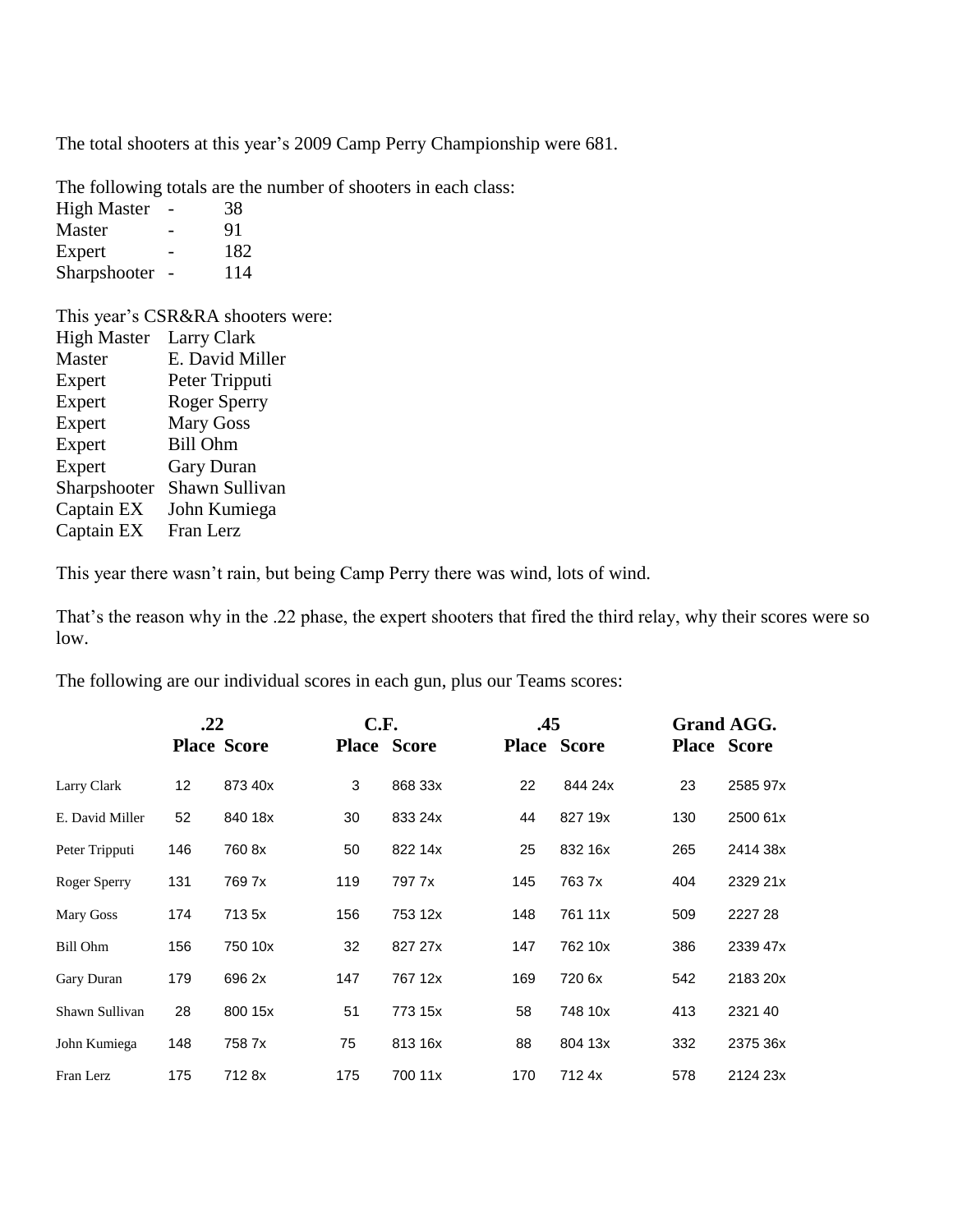The total shooters at this year's 2009 Camp Perry Championship were 681.

The following totals are the number of shooters in each class:

High Master - 38 Master - 91 Expert - 182 Sharpshooter - 114

This year's CSR&RA shooters were: High Master Larry Clark Master E. David Miller Expert Peter Tripputi Expert Roger Sperry Expert Mary Goss Expert Bill Ohm Expert Gary Duran Sharpshooter Shawn Sullivan Captain EX John Kumiega Captain EX Fran Lerz

This year there wasn't rain, but being Camp Perry there was wind, lots of wind.

That's the reason why in the .22 phase, the expert shooters that fired the third relay, why their scores were so low.

The following are our individual scores in each gun, plus our Teams scores:

|                 | .22 |                    | C.F.               |         | .45                |         | <b>Grand AGG.</b>  |          |
|-----------------|-----|--------------------|--------------------|---------|--------------------|---------|--------------------|----------|
|                 |     | <b>Place Score</b> | <b>Place Score</b> |         | <b>Place Score</b> |         | <b>Place Score</b> |          |
| Larry Clark     | 12  | 873 40x            | 3                  | 868 33x | 22                 | 844 24x | 23                 | 2585 97x |
| E. David Miller | 52  | 840 18x            | 30                 | 833 24x | 44                 | 827 19x | 130                | 2500 61x |
| Peter Tripputi  | 146 | 760 8x             | 50                 | 822 14x | 25                 | 832 16x | 265                | 2414 38x |
| Roger Sperry    | 131 | 769 7x             | 119                | 797 7x  | 145                | 763 7x  | 404                | 2329 21x |
| Mary Goss       | 174 | 713 5x             | 156                | 753 12x | 148                | 761 11x | 509                | 2227 28  |
| Bill Ohm        | 156 | 750 10x            | 32                 | 827 27x | 147                | 762 10x | 386                | 2339 47x |
| Gary Duran      | 179 | 696 2x             | 147                | 767 12x | 169                | 720 6x  | 542                | 2183 20x |
| Shawn Sullivan  | 28  | 800 15x            | 51                 | 773 15x | 58                 | 748 10x | 413                | 2321 40  |
| John Kumiega    | 148 | 758 7x             | 75                 | 813 16x | 88                 | 804 13x | 332                | 2375 36x |
| Fran Lerz       | 175 | 712 8x             | 175                | 700 11x | 170                | 712 4x  | 578                | 2124 23x |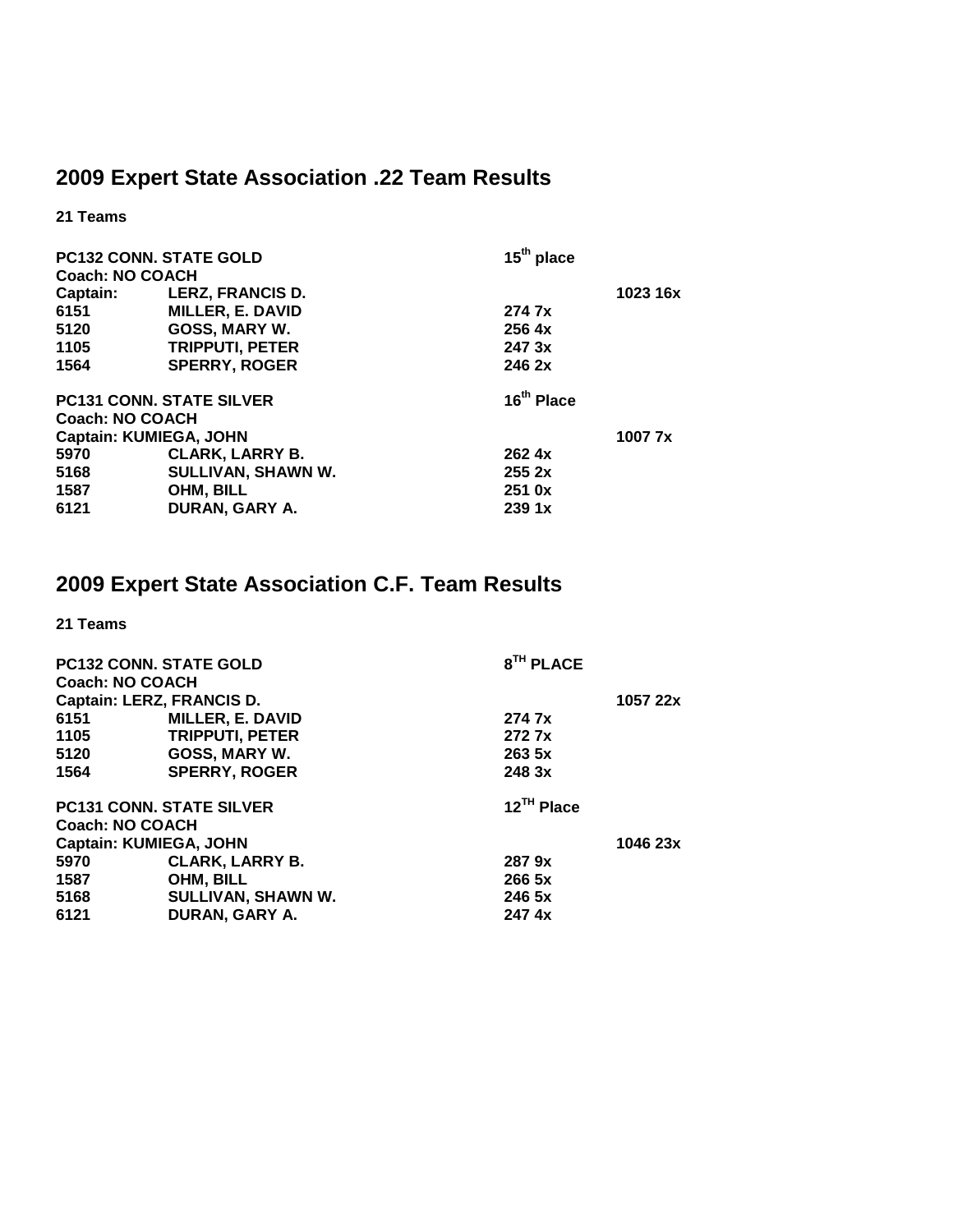## **2009 Expert State Association .22 Team Results**

**21 Teams** 

| <b>PC132 CONN. STATE GOLD</b><br><b>Coach: NO COACH</b> |                                 | $15th$ place           |          |
|---------------------------------------------------------|---------------------------------|------------------------|----------|
| Captain:                                                | <b>LERZ, FRANCIS D.</b>         |                        | 1023 16x |
| 6151                                                    | <b>MILLER, E. DAVID</b>         | 274 7x                 |          |
| 5120                                                    | GOSS, MARY W.                   | 256 <sub>4x</sub>      |          |
| 1105                                                    | <b>TRIPPUTI, PETER</b>          | 247 3x                 |          |
| 1564                                                    | <b>SPERRY, ROGER</b>            | 246 2x                 |          |
|                                                         | <b>PC131 CONN. STATE SILVER</b> | 16 <sup>th</sup> Place |          |
| <b>Coach: NO COACH</b>                                  |                                 |                        |          |
| <b>Captain: KUMIEGA, JOHN</b>                           |                                 |                        | 1007 7x  |
| 5970                                                    | <b>CLARK, LARRY B.</b>          | 262.4x                 |          |
| 5168                                                    | SULLIVAN, SHAWN W.              | 2552x                  |          |
| 1587                                                    | OHM, BILL                       | 251 0x                 |          |
| 6121                                                    | DURAN, GARY A.                  | 2391x                  |          |

## **2009 Expert State Association C.F. Team Results**

**21 Teams** 

| <b>PC132 CONN. STATE GOLD</b><br><b>Coach: NO COACH</b> |                         | 8 <sup>TH</sup> PLACE  |          |  |
|---------------------------------------------------------|-------------------------|------------------------|----------|--|
| Captain: LERZ, FRANCIS D.                               |                         |                        | 1057 22x |  |
| 6151                                                    | <b>MILLER, E. DAVID</b> | 274 7x                 |          |  |
| 1105                                                    | <b>TRIPPUTI, PETER</b>  | 272 7x                 |          |  |
| 5120                                                    | GOSS, MARY W.           | 263 5x                 |          |  |
| 1564                                                    | <b>SPERRY, ROGER</b>    | 248 3x                 |          |  |
| <b>PC131 CONN. STATE SILVER</b>                         |                         | 12 <sup>TH</sup> Place |          |  |
| <b>Coach: NO COACH</b>                                  |                         |                        |          |  |
| <b>Captain: KUMIEGA, JOHN</b>                           |                         |                        | 1046 23x |  |
| 5970                                                    | <b>CLARK, LARRY B.</b>  | 287 9x                 |          |  |
| 1587                                                    | OHM, BILL               | 266 5x                 |          |  |
| 5168                                                    | SULLIVAN, SHAWN W.      | 246 5x                 |          |  |
| 6121                                                    | DURAN, GARY A.          | 247 4x                 |          |  |